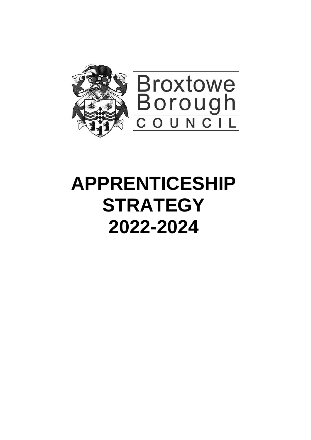

# **APPRENTICESHIP STRATEGY 2022-2024**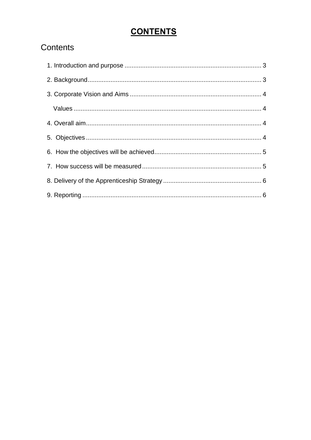# **CONTENTS**

# Contents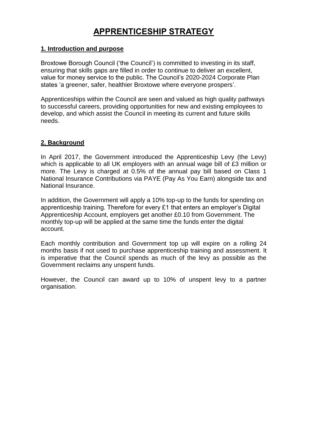# **APPRENTICESHIP STRATEGY**

# <span id="page-2-0"></span>**1. Introduction and purpose**

Broxtowe Borough Council ('the Council') is committed to investing in its staff, ensuring that skills gaps are filled in order to continue to deliver an excellent, value for money service to the public. The Council's 2020-2024 Corporate Plan states 'a greener, safer, healthier Broxtowe where everyone prospers'.

Apprenticeships within the Council are seen and valued as high quality pathways to successful careers, providing opportunities for new and existing employees to develop, and which assist the Council in meeting its current and future skills needs.

# <span id="page-2-1"></span>**2. Background**

In April 2017, the Government introduced the Apprenticeship Levy (the Levy) which is applicable to all UK employers with an annual wage bill of £3 million or more. The Levy is charged at 0.5% of the annual pay bill based on Class 1 National Insurance Contributions via PAYE (Pay As You Earn) alongside tax and National Insurance.

In addition, the Government will apply a 10% top-up to the funds for spending on apprenticeship training. Therefore for every £1 that enters an employer's Digital Apprenticeship Account, employers get another £0.10 from Government. The monthly top-up will be applied at the same time the funds enter the digital account.

Each monthly contribution and Government top up will expire on a rolling 24 months basis if not used to purchase apprenticeship training and assessment. It is imperative that the Council spends as much of the levy as possible as the Government reclaims any unspent funds.

However, the Council can award up to 10% of unspent levy to a partner organisation.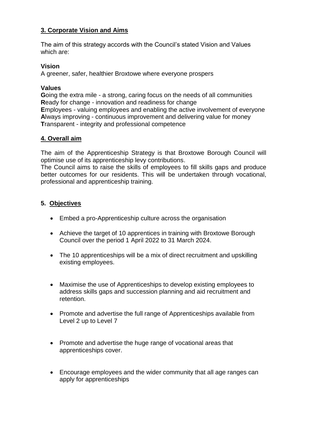# <span id="page-3-0"></span>**3. Corporate Vision and Aims**

The aim of this strategy accords with the Council's stated Vision and Values which are:

#### **Vision**

A greener, safer, healthier Broxtowe where everyone prospers

#### <span id="page-3-1"></span>**Values**

**G**oing the extra mile - a strong, caring focus on the needs of all communities **R**eady for change - innovation and readiness for change **E**mployees - valuing employees and enabling the active involvement of everyone **A**lways improving - continuous improvement and delivering value for money **T**ransparent - integrity and professional competence

# <span id="page-3-2"></span>**4. Overall aim**

The aim of the Apprenticeship Strategy is that Broxtowe Borough Council will optimise use of its apprenticeship levy contributions.

The Council aims to raise the skills of employees to fill skills gaps and produce better outcomes for our residents. This will be undertaken through vocational, professional and apprenticeship training.

# <span id="page-3-3"></span>**5. Objectives**

- Embed a pro-Apprenticeship culture across the organisation
- Achieve the target of 10 apprentices in training with Broxtowe Borough Council over the period 1 April 2022 to 31 March 2024.
- The 10 apprenticeships will be a mix of direct recruitment and upskilling existing employees.
- Maximise the use of Apprenticeships to develop existing employees to address skills gaps and succession planning and aid recruitment and retention.
- Promote and advertise the full range of Apprenticeships available from Level 2 up to Level 7
- Promote and advertise the huge range of vocational areas that apprenticeships cover.
- Encourage employees and the wider community that all age ranges can apply for apprenticeships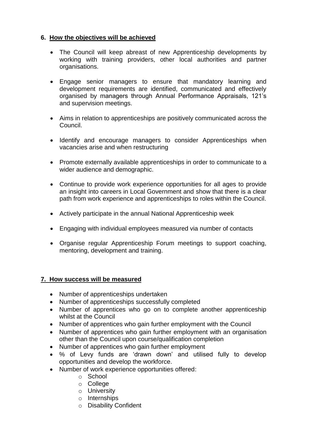# <span id="page-4-0"></span>**6. How the objectives will be achieved**

- The Council will keep abreast of new Apprenticeship developments by working with training providers, other local authorities and partner organisations.
- Engage senior managers to ensure that mandatory learning and development requirements are identified, communicated and effectively organised by managers through Annual Performance Appraisals, 121's and supervision meetings.
- Aims in relation to apprenticeships are positively communicated across the Council.
- Identify and encourage managers to consider Apprenticeships when vacancies arise and when restructuring
- Promote externally available apprenticeships in order to communicate to a wider audience and demographic.
- Continue to provide work experience opportunities for all ages to provide an insight into careers in Local Government and show that there is a clear path from work experience and apprenticeships to roles within the Council.
- Actively participate in the annual National Apprenticeship week
- Engaging with individual employees measured via number of contacts
- Organise regular Apprenticeship Forum meetings to support coaching, mentoring, development and training.

# <span id="page-4-1"></span>**7. How success will be measured**

- Number of apprenticeships undertaken
- Number of apprenticeships successfully completed
- Number of apprentices who go on to complete another apprenticeship whilst at the Council
- Number of apprentices who gain further employment with the Council
- Number of apprentices who gain further employment with an organisation other than the Council upon course/qualification completion
- Number of apprentices who gain further employment
- % of Levy funds are 'drawn down' and utilised fully to develop opportunities and develop the workforce.
- Number of work experience opportunities offered:
	- o School
	- o College
	- o University
	- o Internships
	- o Disability Confident